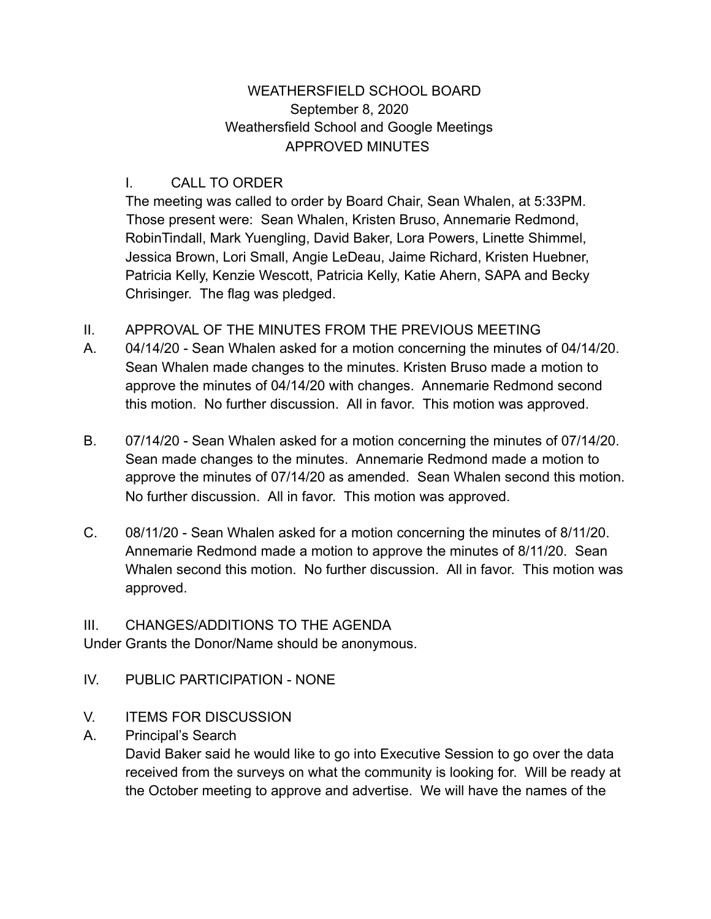### WEATHERSFIELD SCHOOL BOARD September 8, 2020 Weathersfield School and Google Meetings APPROVED MINUTES

### I. CALL TO ORDER

The meeting was called to order by Board Chair, Sean Whalen, at 5:33PM. Those present were: Sean Whalen, Kristen Bruso, Annemarie Redmond, RobinTindall, Mark Yuengling, David Baker, Lora Powers, Linette Shimmel, Jessica Brown, Lori Small, Angie LeDeau, Jaime Richard, Kristen Huebner, Patricia Kelly, Kenzie Wescott, Patricia Kelly, Katie Ahern, SAPA and Becky Chrisinger. The flag was pledged.

- II. APPROVAL OF THE MINUTES FROM THE PREVIOUS MEETING
- A. 04/14/20 Sean Whalen asked for a motion concerning the minutes of 04/14/20. Sean Whalen made changes to the minutes. Kristen Bruso made a motion to approve the minutes of 04/14/20 with changes. Annemarie Redmond second this motion. No further discussion. All in favor. This motion was approved.
- B. 07/14/20 Sean Whalen asked for a motion concerning the minutes of 07/14/20. Sean made changes to the minutes. Annemarie Redmond made a motion to approve the minutes of 07/14/20 as amended. Sean Whalen second this motion. No further discussion. All in favor. This motion was approved.
- C. 08/11/20 Sean Whalen asked for a motion concerning the minutes of 8/11/20. Annemarie Redmond made a motion to approve the minutes of 8/11/20. Sean Whalen second this motion. No further discussion. All in favor. This motion was approved.

## III. CHANGES/ADDITIONS TO THE AGENDA

Under Grants the Donor/Name should be anonymous.

- IV. PUBLIC PARTICIPATION NONE
- V. ITEMS FOR DISCUSSION
- A. Principal's Search

David Baker said he would like to go into Executive Session to go over the data received from the surveys on what the community is looking for. Will be ready at the October meeting to approve and advertise. We will have the names of the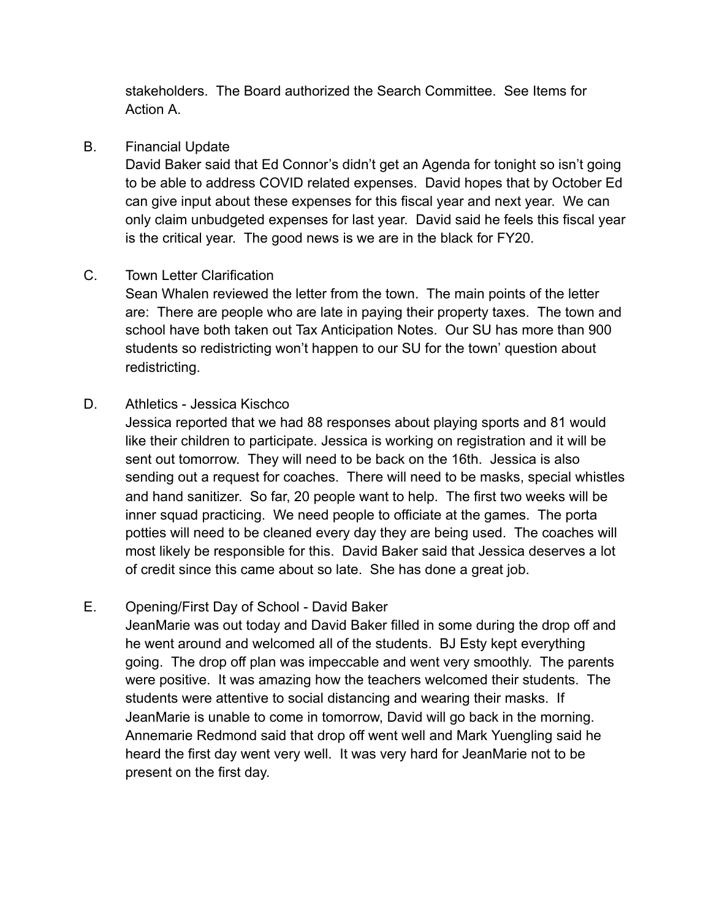stakeholders. The Board authorized the Search Committee. See Items for Action A.

#### B. Financial Update

David Baker said that Ed Connor's didn't get an Agenda for tonight so isn't going to be able to address COVID related expenses. David hopes that by October Ed can give input about these expenses for this fiscal year and next year. We can only claim unbudgeted expenses for last year. David said he feels this fiscal year is the critical year. The good news is we are in the black for FY20.

## C. Town Letter Clarification

Sean Whalen reviewed the letter from the town. The main points of the letter are: There are people who are late in paying their property taxes. The town and school have both taken out Tax Anticipation Notes. Our SU has more than 900 students so redistricting won't happen to our SU for the town' question about redistricting.

#### D. Athletics - Jessica Kischco

Jessica reported that we had 88 responses about playing sports and 81 would like their children to participate. Jessica is working on registration and it will be sent out tomorrow. They will need to be back on the 16th. Jessica is also sending out a request for coaches. There will need to be masks, special whistles and hand sanitizer. So far, 20 people want to help. The first two weeks will be inner squad practicing. We need people to officiate at the games. The porta potties will need to be cleaned every day they are being used. The coaches will most likely be responsible for this. David Baker said that Jessica deserves a lot of credit since this came about so late. She has done a great job.

## E. Opening/First Day of School - David Baker

JeanMarie was out today and David Baker filled in some during the drop off and he went around and welcomed all of the students. BJ Esty kept everything going. The drop off plan was impeccable and went very smoothly. The parents were positive. It was amazing how the teachers welcomed their students. The students were attentive to social distancing and wearing their masks. If JeanMarie is unable to come in tomorrow, David will go back in the morning. Annemarie Redmond said that drop off went well and Mark Yuengling said he heard the first day went very well. It was very hard for JeanMarie not to be present on the first day.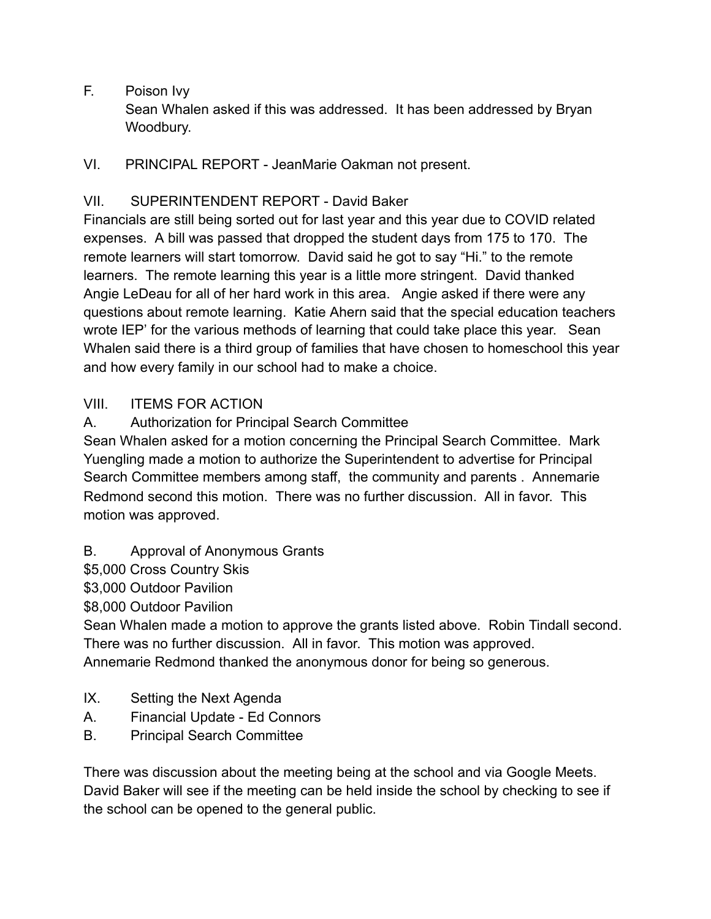F. Poison Ivy

Sean Whalen asked if this was addressed. It has been addressed by Bryan Woodbury.

VI. PRINCIPAL REPORT - JeanMarie Oakman not present.

# VII. SUPERINTENDENT REPORT - David Baker

Financials are still being sorted out for last year and this year due to COVID related expenses. A bill was passed that dropped the student days from 175 to 170. The remote learners will start tomorrow. David said he got to say "Hi." to the remote learners. The remote learning this year is a little more stringent. David thanked Angie LeDeau for all of her hard work in this area. Angie asked if there were any questions about remote learning. Katie Ahern said that the special education teachers wrote IEP' for the various methods of learning that could take place this year. Sean Whalen said there is a third group of families that have chosen to homeschool this year and how every family in our school had to make a choice.

## VIII. ITEMS FOR ACTION

A. Authorization for Principal Search Committee

Sean Whalen asked for a motion concerning the Principal Search Committee. Mark Yuengling made a motion to authorize the Superintendent to advertise for Principal Search Committee members among staff, the community and parents . Annemarie Redmond second this motion. There was no further discussion. All in favor. This motion was approved.

- B. Approval of Anonymous Grants
- \$5,000 Cross Country Skis

\$3,000 Outdoor Pavilion

\$8,000 Outdoor Pavilion

Sean Whalen made a motion to approve the grants listed above. Robin Tindall second. There was no further discussion. All in favor. This motion was approved. Annemarie Redmond thanked the anonymous donor for being so generous.

- IX. Setting the Next Agenda
- A. Financial Update Ed Connors
- B. Principal Search Committee

There was discussion about the meeting being at the school and via Google Meets. David Baker will see if the meeting can be held inside the school by checking to see if the school can be opened to the general public.